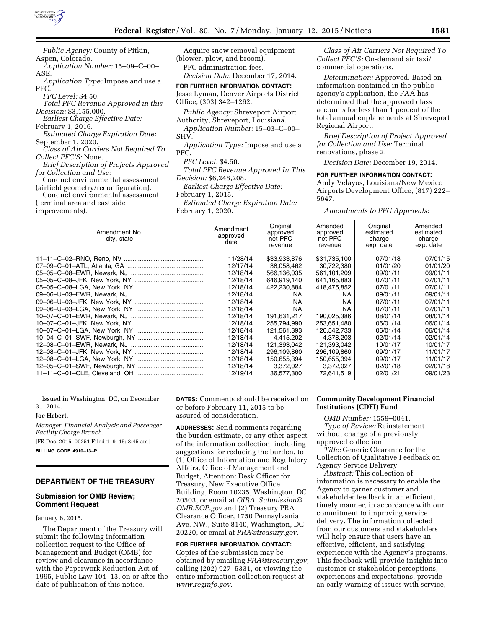

| <i>Public Agency:</i> County of Pitkin,  |   |
|------------------------------------------|---|
| Aspen, Colorado.                         | ( |
| Application Number: 15-09-C-00-          |   |
| ASE.                                     |   |
| Application Type: Impose and use a       |   |
| PFC.                                     | F |
| PFC Level: \$4.50.                       |   |
| Total PFC Revenue Approved in this       |   |
| <i>Decision:</i> \$3,155,000.            |   |
| Earliest Charge Effective Date:          |   |
| February 1, 2016.                        |   |
| <b>Estimated Charge Expiration Date:</b> | ș |
| September 1, 2020.                       |   |
| Class of Air Carriers Not Required To    | F |
| <i>Collect PFC'S:</i> None.              |   |
| Brief Description of Projects Approved   |   |
| for Collection and Use:                  |   |
| Conduct environmental assessment         | I |
| (airfield geometry/reconfiguration).     |   |
| Conduct environmental assessment         | F |
| (terminal area and east side             |   |

improvements).

Acquire snow removal equipment (blower, plow, and broom). PFC administration fees. *Decision Date:* December 17, 2014. **FOR FURTHER INFORMATION CONTACT:** 

esse Lyman, Denver Airports District Office, (303) 342–1262.

*Public Agency:* Shreveport Airport Authority, Shreveport, Louisiana.

*Application Number:* 15–03–C–00– SHV.

*Application Type:* Impose and use a PFC.

*PFC Level:* \$4.50.

*Total PFC Revenue Approved In This Decision:* \$6,248,208.

*Earliest Charge Effective Date:* 

February 1, 2015.

*Estimated Charge Expiration Date:*  February 1, 2020.

*Class of Air Carriers Not Required To Collect PFC'S:* On-demand air taxi/ commercial operations.

*Determination:* Approved. Based on information contained in the public agency's application, the FAA has determined that the approved class accounts for less than 1 percent of the total annual enplanements at Shreveport Regional Airport.

*Brief Description of Project Approved for Collection and Use:* Terminal renovations, phase 2.

*Decision Date:* December 19, 2014.

### **FOR FURTHER INFORMATION CONTACT:**

Andy Velayos, Louisiana/New Mexico Airports Development Office, (817) 222– 5647.

*Amendments to PFC Approvals:* 

| Amendment No.<br>city, state | Amendment<br>approved<br>date | Original<br>approved<br>net PFC<br>revenue | Amended<br>approved<br>net PFC<br>revenue | Original<br>estimated<br>charge<br>exp. date | Amended<br>estimated<br>charge<br>exp. date |
|------------------------------|-------------------------------|--------------------------------------------|-------------------------------------------|----------------------------------------------|---------------------------------------------|
|                              | 11/28/14                      | \$33,933,876                               | \$31,735,100                              | 07/01/18                                     | 07/01/15                                    |
|                              | 12/17/14<br>12/18/14          | 38,058,462<br>566,136,035                  | 30,722,380<br>561.101.209                 | 01/01/20<br>09/01/11                         | 01/01/20<br>09/01/11                        |
|                              | 12/18/14                      | 646,919,140                                | 641,165,883                               | 07/01/11                                     | 07/01/11                                    |
|                              | 12/18/14                      |                                            |                                           |                                              | 07/01/11                                    |
|                              |                               | 422.230.884                                | 418,475,852                               | 07/01/11                                     |                                             |
|                              | 12/18/14                      | NA.                                        | NA.                                       | 09/01/11                                     | 09/01/11                                    |
|                              | 12/18/14                      | NA.                                        | <b>NA</b>                                 | 07/01/11                                     | 07/01/11                                    |
|                              | 12/18/14                      | NA.                                        | NA                                        | 07/01/11                                     | 07/01/11                                    |
|                              | 12/18/14                      | 191,631,217                                | 190,025,386                               | 08/01/14                                     | 08/01/14                                    |
|                              | 12/18/14                      | 255.794.990                                | 253,651,480                               | 06/01/14                                     | 06/01/14                                    |
|                              | 12/18/14                      | 121,561,393                                | 120,542,733                               | 06/01/14                                     | 06/01/14                                    |
|                              | 12/18/14                      | 4,415,202                                  | 4,378,203                                 | 02/01/14                                     | 02/01/14                                    |
|                              | 12/18/14                      | 121,393,042                                | 121,393,042                               | 10/01/17                                     | 10/01/17                                    |
|                              | 12/18/14                      | 296.109.860                                | 296.109.860                               | 09/01/17                                     | 11/01/17                                    |
|                              | 12/18/14                      | 150,655,394                                | 150,655,394                               | 09/01/17                                     | 11/01/17                                    |
|                              | 12/18/14                      | 3,372,027                                  | 3,372,027                                 | 02/01/18                                     | 02/01/18                                    |
|                              | 12/19/14                      | 36,577,300                                 | 72,641,519                                | 02/01/21                                     | 09/01/23                                    |

Issued in Washington, DC, on December 31, 2014.

#### **Joe Hebert,**

*Manager, Financial Analysis and Passenger Facility Charge Branch.* 

[FR Doc. 2015–00251 Filed 1–9–15; 8:45 am]

**BILLING CODE 4910–13–P** 

#### **DEPARTMENT OF THE TREASURY**

## **Submission for OMB Review; Comment Request**

January 6, 2015.

The Department of the Treasury will submit the following information collection request to the Office of Management and Budget (OMB) for review and clearance in accordance with the Paperwork Reduction Act of 1995, Public Law 104–13, on or after the date of publication of this notice.

**DATES:** Comments should be received on or before February 11, 2015 to be assured of consideration.

**ADDRESSES:** Send comments regarding the burden estimate, or any other aspect of the information collection, including suggestions for reducing the burden, to (1) Office of Information and Regulatory Affairs, Office of Management and Budget, Attention: Desk Officer for Treasury, New Executive Office Building, Room 10235, Washington, DC 20503, or email at *OIRA*\_*[Submission@](mailto:OIRA_Submission@OMB.EOP.gov) [OMB.EOP.gov](mailto:OIRA_Submission@OMB.EOP.gov)* and (2) Treasury PRA Clearance Officer, 1750 Pennsylvania Ave. NW., Suite 8140, Washington, DC 20220, or email at *[PRA@treasury.gov.](mailto:PRA@treasury.gov)* 

**FOR FURTHER INFORMATION CONTACT:**  Copies of the submission may be obtained by emailing *[PRA@treasury.gov,](mailto:PRA@treasury.gov)*  calling (202) 927–5331, or viewing the entire information collection request at *[www.reginfo.gov.](http://www.reginfo.gov)* 

## **Community Development Financial Institutions (CDFI) Fund**

*OMB Number:* 1559–0041. *Type of Review:* Reinstatement without change of a previously approved collection.

*Title:* Generic Clearance for the Collection of Qualitative Feedback on Agency Service Delivery.

*Abstract:* This collection of information is necessary to enable the Agency to garner customer and stakeholder feedback in an efficient, timely manner, in accordance with our commitment to improving service delivery. The information collected from our customers and stakeholders will help ensure that users have an effective, efficient, and satisfying experience with the Agency's programs. This feedback will provide insights into customer or stakeholder perceptions, experiences and expectations, provide an early warning of issues with service,